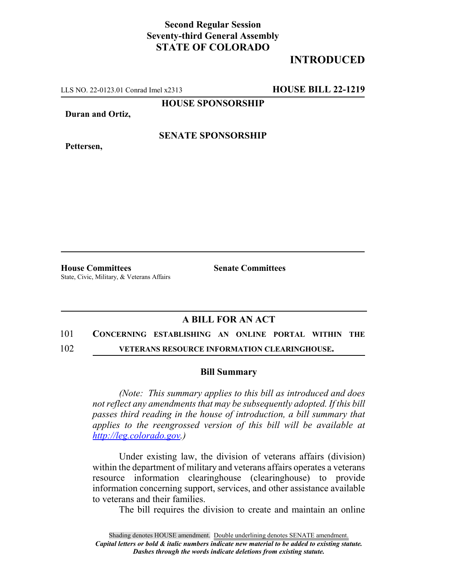## **Second Regular Session Seventy-third General Assembly STATE OF COLORADO**

# **INTRODUCED**

LLS NO. 22-0123.01 Conrad Imel x2313 **HOUSE BILL 22-1219**

**HOUSE SPONSORSHIP**

**Duran and Ortiz,**

**SENATE SPONSORSHIP**

**Pettersen,**

**House Committees Senate Committees** State, Civic, Military, & Veterans Affairs

### **A BILL FOR AN ACT**

#### 101 **CONCERNING ESTABLISHING AN ONLINE PORTAL WITHIN THE**

102 **VETERANS RESOURCE INFORMATION CLEARINGHOUSE.**

### **Bill Summary**

*(Note: This summary applies to this bill as introduced and does not reflect any amendments that may be subsequently adopted. If this bill passes third reading in the house of introduction, a bill summary that applies to the reengrossed version of this bill will be available at http://leg.colorado.gov.)*

Under existing law, the division of veterans affairs (division) within the department of military and veterans affairs operates a veterans resource information clearinghouse (clearinghouse) to provide information concerning support, services, and other assistance available to veterans and their families.

The bill requires the division to create and maintain an online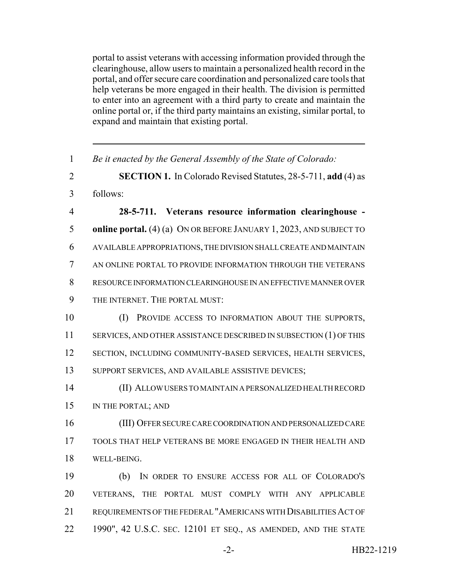portal to assist veterans with accessing information provided through the clearinghouse, allow users to maintain a personalized health record in the portal, and offer secure care coordination and personalized care tools that help veterans be more engaged in their health. The division is permitted to enter into an agreement with a third party to create and maintain the online portal or, if the third party maintains an existing, similar portal, to expand and maintain that existing portal.

| $\mathbf{1}$   | Be it enacted by the General Assembly of the State of Colorado:     |
|----------------|---------------------------------------------------------------------|
| $\overline{2}$ | SECTION 1. In Colorado Revised Statutes, 28-5-711, add (4) as       |
| 3              | follows:                                                            |
| $\overline{4}$ | 28-5-711. Veterans resource information clearinghouse -             |
| 5              | online portal. (4) (a) ON OR BEFORE JANUARY 1, 2023, AND SUBJECT TO |
| 6              | AVAILABLE APPROPRIATIONS, THE DIVISION SHALL CREATE AND MAINTAIN    |
| $\overline{7}$ | AN ONLINE PORTAL TO PROVIDE INFORMATION THROUGH THE VETERANS        |
| 8              | RESOURCE INFORMATION CLEARINGHOUSE IN AN EFFECTIVE MANNER OVER      |
| 9              | THE INTERNET. THE PORTAL MUST:                                      |
| 10             | (I)<br>PROVIDE ACCESS TO INFORMATION ABOUT THE SUPPORTS,            |
| 11             | SERVICES, AND OTHER ASSISTANCE DESCRIBED IN SUBSECTION (1) OF THIS  |
| 12             | SECTION, INCLUDING COMMUNITY-BASED SERVICES, HEALTH SERVICES,       |
| 13             | SUPPORT SERVICES, AND AVAILABLE ASSISTIVE DEVICES;                  |
| 14             | (II) ALLOW USERS TO MAINTAIN A PERSONALIZED HEALTH RECORD           |
| 15             | IN THE PORTAL; AND                                                  |
| 16             | (III) OFFER SECURE CARE COORDINATION AND PERSONALIZED CARE          |
| 17             | TOOLS THAT HELP VETERANS BE MORE ENGAGED IN THEIR HEALTH AND        |
| 18             | WELL-BEING.                                                         |
| 19             | IN ORDER TO ENSURE ACCESS FOR ALL OF COLORADO'S<br>(b)              |
| 20             | VETERANS, THE PORTAL MUST COMPLY WITH ANY APPLICABLE                |
| 21             | REQUIREMENTS OF THE FEDERAL "AMERICANS WITH DISABILITIES ACT OF     |
| 22             | 1990", 42 U.S.C. SEC. 12101 ET SEQ., AS AMENDED, AND THE STATE      |